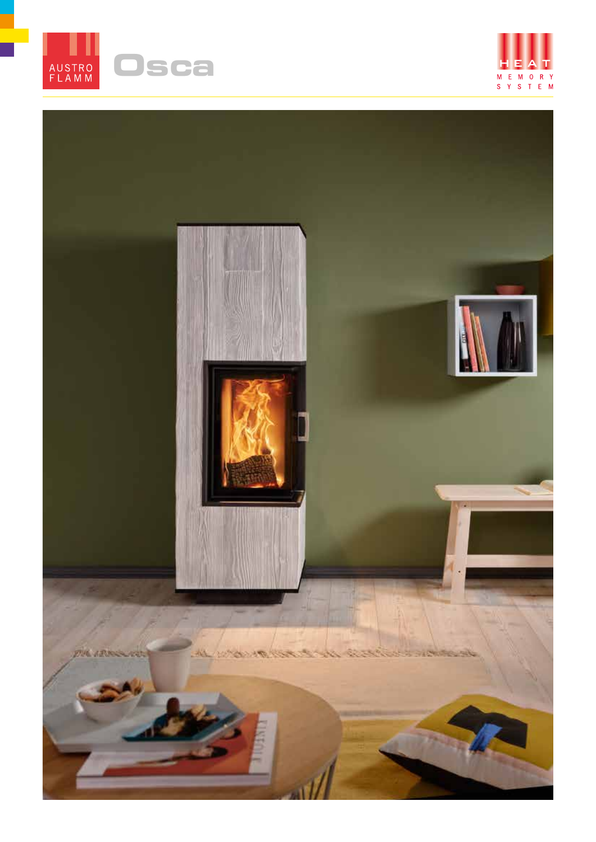